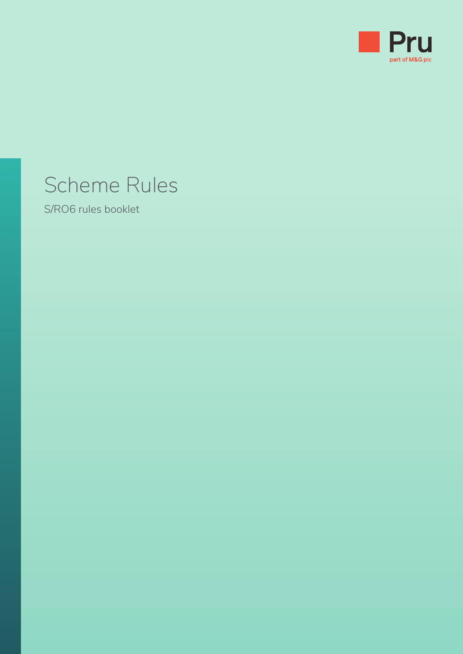

# Scheme Rules

S/RO6 rules booklet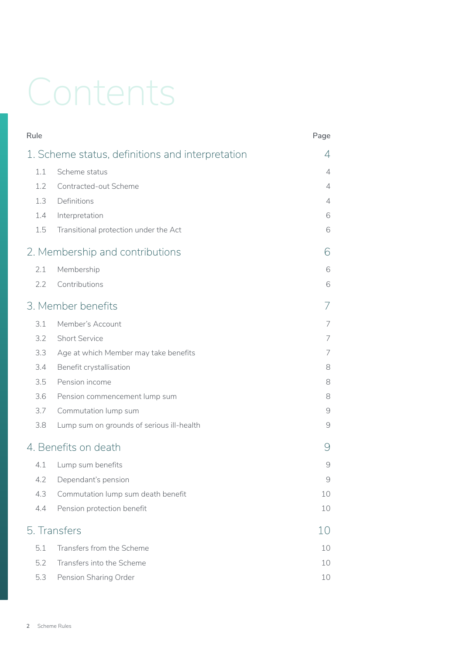# Contents

| Rule                                             |                                           | Page          |
|--------------------------------------------------|-------------------------------------------|---------------|
| 1. Scheme status, definitions and interpretation |                                           | 4             |
| 1.1                                              | Scheme status                             | 4             |
| 1.2                                              | Contracted-out Scheme                     | 4             |
| 1.3                                              | Definitions                               | 4             |
| 1.4                                              | Interpretation                            | 6             |
| 1.5                                              | Transitional protection under the Act     | 6             |
| 2. Membership and contributions                  |                                           | 6             |
| 2.1                                              | Membership                                | 6             |
| 2.2                                              | Contributions                             | 6             |
|                                                  | 3. Member benefits                        | 7             |
| 3.1                                              | Member's Account                          | 7             |
| 3.2                                              | <b>Short Service</b>                      | 7             |
| 3.3                                              | Age at which Member may take benefits     | 7             |
| 3.4                                              | Benefit crystallisation                   | 8             |
| 3.5                                              | Pension income                            | 8             |
| 3.6                                              | Pension commencement lump sum             | 8             |
| 3.7                                              | Commutation lump sum                      | $\mathcal{G}$ |
| 3.8                                              | Lump sum on grounds of serious ill-health | 9             |
| 4. Benefits on death                             |                                           | 9             |
| 4.1                                              | Lump sum benefits                         | $\mathcal{G}$ |
|                                                  | 4.2 Dependant's pension                   | 9             |
| 4.3                                              | Commutation lump sum death benefit        | 10            |
| 4.4                                              | Pension protection benefit                | 10            |
| 5. Transfers                                     |                                           | 10            |
| 5.1                                              | Transfers from the Scheme                 | 10            |
| 5.2                                              | Transfers into the Scheme                 | 10            |
| 5.3                                              | Pension Sharing Order                     | 10            |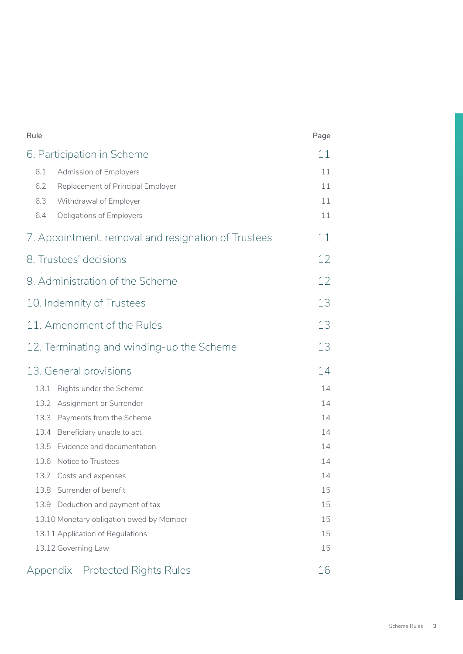| Rule                                                | Page |
|-----------------------------------------------------|------|
| 6. Participation in Scheme                          |      |
| 6.1<br><b>Admission of Employers</b>                | 11   |
| 6.2<br>Replacement of Principal Employer            | 11   |
| 6.3<br>Withdrawal of Employer                       | 11   |
| 6.4<br><b>Obligations of Employers</b>              | 11   |
| 7. Appointment, removal and resignation of Trustees |      |
| 8. Trustees' decisions                              |      |
| 9. Administration of the Scheme                     |      |
| 10. Indemnity of Trustees                           |      |
| 11. Amendment of the Rules                          |      |
| 12. Terminating and winding-up the Scheme           | 13   |
| 13. General provisions                              | 14   |
| 13.1 Rights under the Scheme                        | 14   |
| 13.2 Assignment or Surrender                        | 14   |
| Payments from the Scheme<br>13.3                    | 14   |
| 13.4<br>Beneficiary unable to act                   | 14   |
| 13.5<br>Evidence and documentation                  | 14   |
| Notice to Trustees<br>13.6                          | 14   |
| 13.7 Costs and expenses                             | 14   |
| 13.8 Surrender of benefit                           | 15   |
| Deduction and payment of tax<br>13.9                | 15   |
| 13.10 Monetary obligation owed by Member            | 15   |
| 13.11 Application of Regulations                    |      |
| 13.12 Governing Law                                 | 15   |
| Appendix – Protected Rights Rules                   | 16   |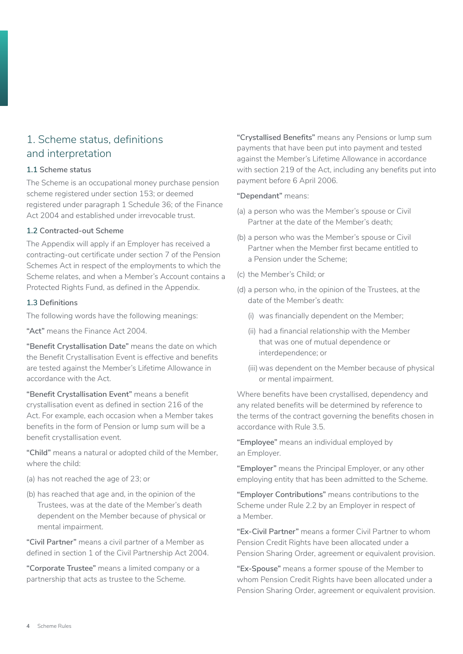### 1. Scheme status, definitions and interpretation

### **1.1 Scheme status**

The Scheme is an occupational money purchase pension scheme registered under section 153; or deemed registered under paragraph 1 Schedule 36; of the Finance Act 2004 and established under irrevocable trust.

### **1.2 Contracted-out Scheme**

The Appendix will apply if an Employer has received a contracting-out certificate under section 7 of the Pension Schemes Act in respect of the employments to which the Scheme relates, and when a Member's Account contains a Protected Rights Fund, as defined in the Appendix.

### **1.3 Definitions**

The following words have the following meanings:

**"Act"** means the Finance Act 2004.

**"Benefit Crystallisation Date"** means the date on which the Benefit Crystallisation Event is effective and benefits are tested against the Member's Lifetime Allowance in accordance with the Act.

**"Benefit Crystallisation Event"** means a benefit crystallisation event as defined in section 216 of the Act. For example, each occasion when a Member takes benefits in the form of Pension or lump sum will be a benefit crystallisation event.

**"Child"** means a natural or adopted child of the Member, where the child:

- (a) has not reached the age of 23; or
- (b) has reached that age and, in the opinion of the Trustees, was at the date of the Member's death dependent on the Member because of physical or mental impairment.

**"Civil Partner"** means a civil partner of a Member as defined in section 1 of the Civil Partnership Act 2004.

**"Corporate Trustee"** means a limited company or a partnership that acts as trustee to the Scheme.

**"Crystallised Benefits"** means any Pensions or lump sum payments that have been put into payment and tested against the Member's Lifetime Allowance in accordance with section 219 of the Act, including any benefits put into payment before 6 April 2006.

### **"Dependant"** means:

- (a) a person who was the Member's spouse or Civil Partner at the date of the Member's death;
- (b) a person who was the Member's spouse or Civil Partner when the Member first became entitled to a Pension under the Scheme;
- (c) the Member's Child; or
- (d) a person who, in the opinion of the Trustees, at the date of the Member's death:
	- (i) was financially dependent on the Member;
	- (ii) had a financial relationship with the Member that was one of mutual dependence or interdependence; or
	- (iii) was dependent on the Member because of physical or mental impairment.

Where benefits have been crystallised, dependency and any related benefits will be determined by reference to the terms of the contract governing the benefits chosen in accordance with Rule 3.5.

**"Employee"** means an individual employed by an Employer.

**"Employer"** means the Principal Employer, or any other employing entity that has been admitted to the Scheme.

**"Employer Contributions"** means contributions to the Scheme under Rule 2.2 by an Employer in respect of a Member.

**"Ex-Civil Partner"** means a former Civil Partner to whom Pension Credit Rights have been allocated under a Pension Sharing Order, agreement or equivalent provision.

**"Ex-Spouse"** means a former spouse of the Member to whom Pension Credit Rights have been allocated under a Pension Sharing Order, agreement or equivalent provision.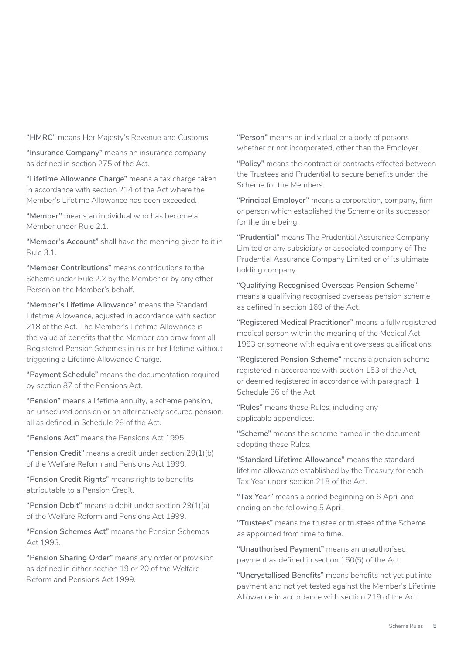**"HMRC"** means Her Majesty's Revenue and Customs.

**"Insurance Company"** means an insurance company as defined in section 275 of the Act.

**"Lifetime Allowance Charge"** means a tax charge taken in accordance with section 214 of the Act where the Member's Lifetime Allowance has been exceeded.

**"Member"** means an individual who has become a Member under Rule 2.1.

**"Member's Account"** shall have the meaning given to it in Rule 3.1.

**"Member Contributions"** means contributions to the Scheme under Rule 2.2 by the Member or by any other Person on the Member's behalf.

**"Member's Lifetime Allowance"** means the Standard Lifetime Allowance, adjusted in accordance with section 218 of the Act. The Member's Lifetime Allowance is the value of benefits that the Member can draw from all Registered Pension Schemes in his or her lifetime without triggering a Lifetime Allowance Charge.

**"Payment Schedule"** means the documentation required by section 87 of the Pensions Act.

**"Pension"** means a lifetime annuity, a scheme pension, an unsecured pension or an alternatively secured pension, all as defined in Schedule 28 of the Act.

**"Pensions Act"** means the Pensions Act 1995.

**"Pension Credit"** means a credit under section 29(1)(b) of the Welfare Reform and Pensions Act 1999.

**"Pension Credit Rights"** means rights to benefits attributable to a Pension Credit.

**"Pension Debit"** means a debit under section 29(1)(a) of the Welfare Reform and Pensions Act 1999.

**"Pension Schemes Act"** means the Pension Schemes Act 1993.

**"Pension Sharing Order"** means any order or provision as defined in either section 19 or 20 of the Welfare Reform and Pensions Act 1999.

**"Person"** means an individual or a body of persons whether or not incorporated, other than the Employer.

**"Policy"** means the contract or contracts effected between the Trustees and Prudential to secure benefits under the Scheme for the Members.

**"Principal Employer"** means a corporation, company, firm or person which established the Scheme or its successor for the time being.

**"Prudential"** means The Prudential Assurance Company Limited or any subsidiary or associated company of The Prudential Assurance Company Limited or of its ultimate holding company.

**"Qualifying Recognised Overseas Pension Scheme"**  means a qualifying recognised overseas pension scheme as defined in section 169 of the Act.

**"Registered Medical Practitioner"** means a fully registered medical person within the meaning of the Medical Act 1983 or someone with equivalent overseas qualifications.

**"Registered Pension Scheme"** means a pension scheme registered in accordance with section 153 of the Act, or deemed registered in accordance with paragraph 1 Schedule 36 of the Act.

**"Rules"** means these Rules, including any applicable appendices.

**"Scheme"** means the scheme named in the document adopting these Rules.

**"Standard Lifetime Allowance"** means the standard lifetime allowance established by the Treasury for each Tax Year under section 218 of the Act.

**"Tax Year"** means a period beginning on 6 April and ending on the following 5 April.

**"Trustees"** means the trustee or trustees of the Scheme as appointed from time to time.

**"Unauthorised Payment"** means an unauthorised payment as defined in section 160(5) of the Act.

**"Uncrystallised Benefits"** means benefits not yet put into payment and not yet tested against the Member's Lifetime Allowance in accordance with section 219 of the Act.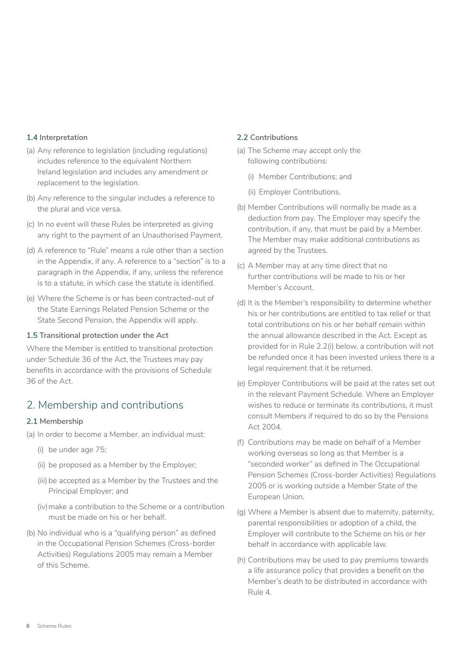### **1.4 Interpretation**

- (a) Any reference to legislation (including regulations) includes reference to the equivalent Northern Ireland legislation and includes any amendment or replacement to the legislation.
- (b) Any reference to the singular includes a reference to the plural and vice versa.
- (c) In no event will these Rules be interpreted as giving any right to the payment of an Unauthorised Payment.
- (d) A reference to "Rule" means a rule other than a section in the Appendix, if any. A reference to a "section" is to a paragraph in the Appendix, if any, unless the reference is to a statute, in which case the statute is identified.
- (e) Where the Scheme is or has been contracted-out of the State Earnings Related Pension Scheme or the State Second Pension, the Appendix will apply.

### **1.5 Transitional protection under the Act**

Where the Member is entitled to transitional protection under Schedule 36 of the Act, the Trustees may pay benefits in accordance with the provisions of Schedule 36 of the Act.

### 2. Membership and contributions

### **2.1 Membership**

- (a) In order to become a Member, an individual must:
	- (i) be under age 75;
	- (ii) be proposed as a Member by the Employer;
	- (iii) be accepted as a Member by the Trustees and the Principal Employer; and
	- (iv) make a contribution to the Scheme or a contribution must be made on his or her behalf.
- (b) No individual who is a "qualifying person" as defined in the Occupational Pension Schemes (Cross-border Activities) Regulations 2005 may remain a Member of this Scheme.

### **2.2 Contributions**

- (a) The Scheme may accept only the following contributions:
	- (i) Member Contributions; and
	- (ii) Employer Contributions.
- (b) Member Contributions will normally be made as a deduction from pay. The Employer may specify the contribution, if any, that must be paid by a Member. The Member may make additional contributions as agreed by the Trustees.
- (c) A Member may at any time direct that no further contributions will be made to his or her Member's Account.
- (d) It is the Member's responsibility to determine whether his or her contributions are entitled to tax relief or that total contributions on his or her behalf remain within the annual allowance described in the Act. Except as provided for in Rule 2.2(i) below, a contribution will not be refunded once it has been invested unless there is a legal requirement that it be returned.
- (e) Employer Contributions will be paid at the rates set out in the relevant Payment Schedule. Where an Employer wishes to reduce or terminate its contributions, it must consult Members if required to do so by the Pensions Act 2004.
- (f) Contributions may be made on behalf of a Member working overseas so long as that Member is a "seconded worker" as defined in The Occupational Pension Schemes (Cross-border Activities) Regulations 2005 or is working outside a Member State of the European Union.
- (g) Where a Member is absent due to maternity, paternity, parental responsibilities or adoption of a child, the Employer will contribute to the Scheme on his or her behalf in accordance with applicable law.
- (h) Contributions may be used to pay premiums towards a life assurance policy that provides a benefit on the Member's death to be distributed in accordance with Rule 4.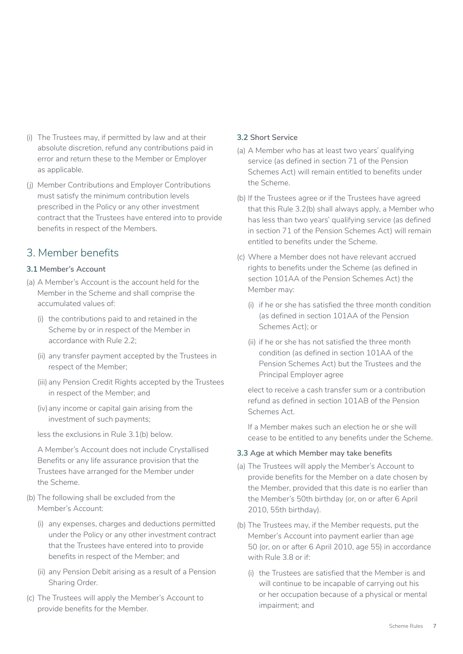- (i) The Trustees may, if permitted by law and at their absolute discretion, refund any contributions paid in error and return these to the Member or Employer as applicable.
- (j) Member Contributions and Employer Contributions must satisfy the minimum contribution levels prescribed in the Policy or any other investment contract that the Trustees have entered into to provide benefits in respect of the Members.

### 3. Member benefits

### **3.1 Member's Account**

- (a) A Member's Account is the account held for the Member in the Scheme and shall comprise the accumulated values of:
	- (i) the contributions paid to and retained in the Scheme by or in respect of the Member in accordance with Rule 2.2;
	- (ii) any transfer payment accepted by the Trustees in respect of the Member;
	- (iii) any Pension Credit Rights accepted by the Trustees in respect of the Member; and
	- (iv) any income or capital gain arising from the investment of such payments;
	- less the exclusions in Rule 3.1(b) below.

A Member's Account does not include Crystallised Benefits or any life assurance provision that the Trustees have arranged for the Member under the Scheme.

- (b) The following shall be excluded from the Member's Account:
	- (i) any expenses, charges and deductions permitted under the Policy or any other investment contract that the Trustees have entered into to provide benefits in respect of the Member; and
	- (ii) any Pension Debit arising as a result of a Pension Sharing Order.
- (c) The Trustees will apply the Member's Account to provide benefits for the Member.

### **3.2 Short Service**

- (a) A Member who has at least two years' qualifying service (as defined in section 71 of the Pension Schemes Act) will remain entitled to benefits under the Scheme.
- (b) If the Trustees agree or if the Trustees have agreed that this Rule 3.2(b) shall always apply, a Member who has less than two years' qualifying service (as defined in section 71 of the Pension Schemes Act) will remain entitled to benefits under the Scheme.
- (c) Where a Member does not have relevant accrued rights to benefits under the Scheme (as defined in section 101AA of the Pension Schemes Act) the Member may:
	- (i) if he or she has satisfied the three month condition (as defined in section 101AA of the Pension Schemes Act); or
	- (ii) if he or she has not satisfied the three month condition (as defined in section 101AA of the Pension Schemes Act) but the Trustees and the Principal Employer agree

elect to receive a cash transfer sum or a contribution refund as defined in section 101AB of the Pension Schemes Act.

If a Member makes such an election he or she will cease to be entitled to any benefits under the Scheme.

### **3.3 Age at which Member may take benefits**

- (a) The Trustees will apply the Member's Account to provide benefits for the Member on a date chosen by the Member, provided that this date is no earlier than the Member's 50th birthday (or, on or after 6 April 2010, 55th birthday).
- (b) The Trustees may, if the Member requests, put the Member's Account into payment earlier than age 50 (or, on or after 6 April 2010, age 55) in accordance with Rule 3.8 or if:
	- (i) the Trustees are satisfied that the Member is and will continue to be incapable of carrying out his or her occupation because of a physical or mental impairment; and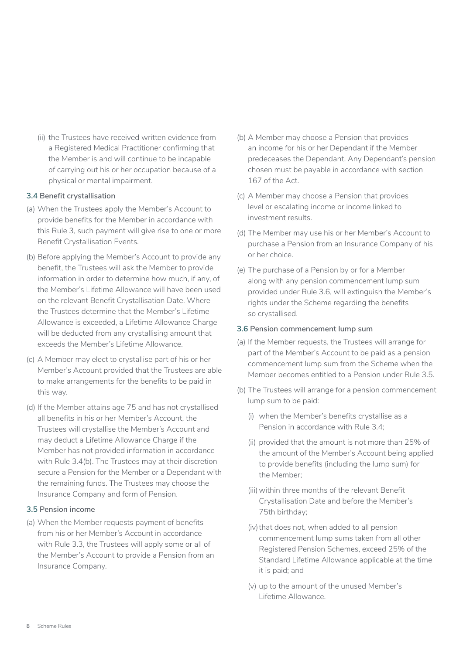(ii) the Trustees have received written evidence from a Registered Medical Practitioner confirming that the Member is and will continue to be incapable of carrying out his or her occupation because of a physical or mental impairment.

### **3.4 Benefit crystallisation**

- (a) When the Trustees apply the Member's Account to provide benefits for the Member in accordance with this Rule 3, such payment will give rise to one or more Benefit Crystallisation Events.
- (b) Before applying the Member's Account to provide any benefit, the Trustees will ask the Member to provide information in order to determine how much, if any, of the Member's Lifetime Allowance will have been used on the relevant Benefit Crystallisation Date. Where the Trustees determine that the Member's Lifetime Allowance is exceeded, a Lifetime Allowance Charge will be deducted from any crystallising amount that exceeds the Member's Lifetime Allowance.
- (c) A Member may elect to crystallise part of his or her Member's Account provided that the Trustees are able to make arrangements for the benefits to be paid in this way.
- (d) If the Member attains age 75 and has not crystallised all benefits in his or her Member's Account, the Trustees will crystallise the Member's Account and may deduct a Lifetime Allowance Charge if the Member has not provided information in accordance with Rule 3.4(b). The Trustees may at their discretion secure a Pension for the Member or a Dependant with the remaining funds. The Trustees may choose the Insurance Company and form of Pension.

### **3.5 Pension income**

(a) When the Member requests payment of benefits from his or her Member's Account in accordance with Rule 3.3, the Trustees will apply some or all of the Member's Account to provide a Pension from an Insurance Company.

- (b) A Member may choose a Pension that provides an income for his or her Dependant if the Member predeceases the Dependant. Any Dependant's pension chosen must be payable in accordance with section 167 of the Act.
- (c) A Member may choose a Pension that provides level or escalating income or income linked to investment results.
- (d) The Member may use his or her Member's Account to purchase a Pension from an Insurance Company of his or her choice.
- (e) The purchase of a Pension by or for a Member along with any pension commencement lump sum provided under Rule 3.6, will extinguish the Member's rights under the Scheme regarding the benefits so crystallised.

#### **3.6 Pension commencement lump sum**

- (a) If the Member requests, the Trustees will arrange for part of the Member's Account to be paid as a pension commencement lump sum from the Scheme when the Member becomes entitled to a Pension under Rule 3.5.
- (b) The Trustees will arrange for a pension commencement lump sum to be paid:
	- (i) when the Member's benefits crystallise as a Pension in accordance with Rule 3.4;
	- (ii) provided that the amount is not more than 25% of the amount of the Member's Account being applied to provide benefits (including the lump sum) for the Member;
	- (iii) within three months of the relevant Benefit Crystallisation Date and before the Member's 75th birthday;
	- (iv) that does not, when added to all pension commencement lump sums taken from all other Registered Pension Schemes, exceed 25% of the Standard Lifetime Allowance applicable at the time it is paid; and
	- (v) up to the amount of the unused Member's Lifetime Allowance.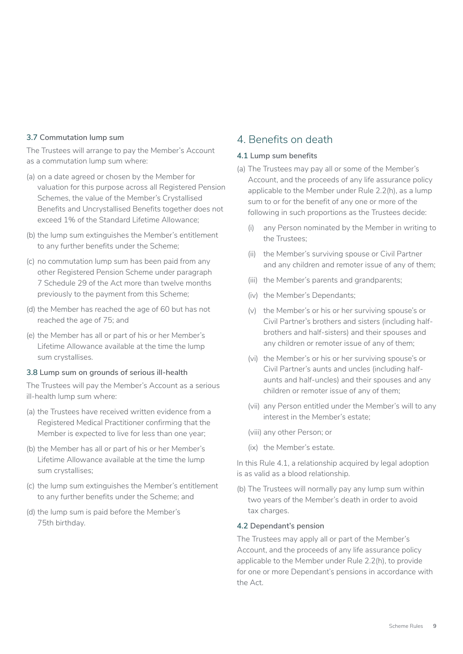### **3.7 Commutation lump sum**

The Trustees will arrange to pay the Member's Account as a commutation lump sum where:

- (a) on a date agreed or chosen by the Member for valuation for this purpose across all Registered Pension Schemes, the value of the Member's Crystallised Benefits and Uncrystallised Benefits together does not exceed 1% of the Standard Lifetime Allowance;
- (b) the lump sum extinguishes the Member's entitlement to any further benefits under the Scheme;
- (c) no commutation lump sum has been paid from any other Registered Pension Scheme under paragraph 7 Schedule 29 of the Act more than twelve months previously to the payment from this Scheme;
- (d) the Member has reached the age of 60 but has not reached the age of 75; and
- (e) the Member has all or part of his or her Member's Lifetime Allowance available at the time the lump sum crystallises.

#### **3.8 Lump sum on grounds of serious ill-health**

The Trustees will pay the Member's Account as a serious ill-health lump sum where:

- (a) the Trustees have received written evidence from a Registered Medical Practitioner confirming that the Member is expected to live for less than one year;
- (b) the Member has all or part of his or her Member's Lifetime Allowance available at the time the lump sum crystallises;
- (c) the lump sum extinguishes the Member's entitlement to any further benefits under the Scheme; and
- (d) the lump sum is paid before the Member's 75th birthday.

### 4. Benefits on death

#### **4.1 Lump sum benefits**

- (a) The Trustees may pay all or some of the Member's Account, and the proceeds of any life assurance policy applicable to the Member under Rule 2.2(h), as a lump sum to or for the benefit of any one or more of the following in such proportions as the Trustees decide:
	- (i) any Person nominated by the Member in writing to the Trustees;
	- (ii) the Member's surviving spouse or Civil Partner and any children and remoter issue of any of them;
	- (iii) the Member's parents and grandparents;
	- (iv) the Member's Dependants;
	- (v) the Member's or his or her surviving spouse's or Civil Partner's brothers and sisters (including halfbrothers and half-sisters) and their spouses and any children or remoter issue of any of them;
	- (vi) the Member's or his or her surviving spouse's or Civil Partner's aunts and uncles (including halfaunts and half-uncles) and their spouses and any children or remoter issue of any of them;
	- (vii) any Person entitled under the Member's will to any interest in the Member's estate;

(viii) any other Person; or

(ix) the Member's estate.

In this Rule 4.1, a relationship acquired by legal adoption is as valid as a blood relationship.

(b) The Trustees will normally pay any lump sum within two years of the Member's death in order to avoid tax charges.

#### **4.2 Dependant's pension**

The Trustees may apply all or part of the Member's Account, and the proceeds of any life assurance policy applicable to the Member under Rule 2.2(h), to provide for one or more Dependant's pensions in accordance with the Act.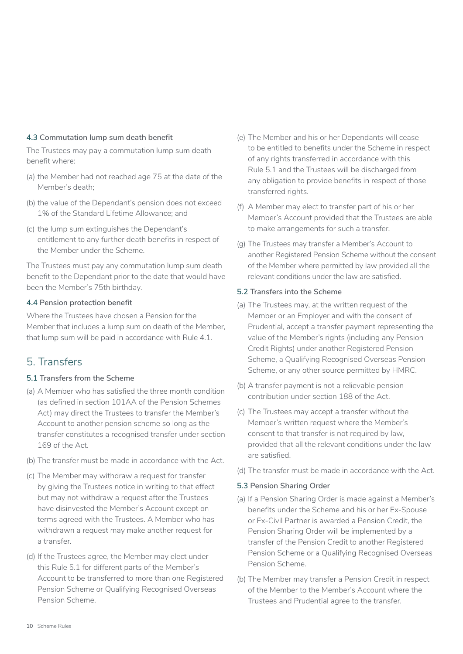### **4.3 Commutation lump sum death benefit**

The Trustees may pay a commutation lump sum death benefit where:

- (a) the Member had not reached age 75 at the date of the Member's death;
- (b) the value of the Dependant's pension does not exceed 1% of the Standard Lifetime Allowance; and
- (c) the lump sum extinguishes the Dependant's entitlement to any further death benefits in respect of the Member under the Scheme.

The Trustees must pay any commutation lump sum death benefit to the Dependant prior to the date that would have been the Member's 75th birthday.

### **4.4 Pension protection benefit**

Where the Trustees have chosen a Pension for the Member that includes a lump sum on death of the Member, that lump sum will be paid in accordance with Rule 4.1.

### 5. Transfers

### **5.1 Transfers from the Scheme**

- (a) A Member who has satisfied the three month condition (as defined in section 101AA of the Pension Schemes Act) may direct the Trustees to transfer the Member's Account to another pension scheme so long as the transfer constitutes a recognised transfer under section 169 of the Act.
- (b) The transfer must be made in accordance with the Act.
- (c) The Member may withdraw a request for transfer by giving the Trustees notice in writing to that effect but may not withdraw a request after the Trustees have disinvested the Member's Account except on terms agreed with the Trustees. A Member who has withdrawn a request may make another request for a transfer.
- (d) If the Trustees agree, the Member may elect under this Rule 5.1 for different parts of the Member's Account to be transferred to more than one Registered Pension Scheme or Qualifying Recognised Overseas Pension Scheme.
- (e) The Member and his or her Dependants will cease to be entitled to benefits under the Scheme in respect of any rights transferred in accordance with this Rule 5.1 and the Trustees will be discharged from any obligation to provide benefits in respect of those transferred rights.
- (f) A Member may elect to transfer part of his or her Member's Account provided that the Trustees are able to make arrangements for such a transfer.
- (g) The Trustees may transfer a Member's Account to another Registered Pension Scheme without the consent of the Member where permitted by law provided all the relevant conditions under the law are satisfied.

### **5.2 Transfers into the Scheme**

- (a) The Trustees may, at the written request of the Member or an Employer and with the consent of Prudential, accept a transfer payment representing the value of the Member's rights (including any Pension Credit Rights) under another Registered Pension Scheme, a Qualifying Recognised Overseas Pension Scheme, or any other source permitted by HMRC.
- (b) A transfer payment is not a relievable pension contribution under section 188 of the Act.
- (c) The Trustees may accept a transfer without the Member's written request where the Member's consent to that transfer is not required by law, provided that all the relevant conditions under the law are satisfied.
- (d) The transfer must be made in accordance with the Act.

### **5.3 Pension Sharing Order**

- (a) If a Pension Sharing Order is made against a Member's benefits under the Scheme and his or her Ex-Spouse or Ex-Civil Partner is awarded a Pension Credit, the Pension Sharing Order will be implemented by a transfer of the Pension Credit to another Registered Pension Scheme or a Qualifying Recognised Overseas Pension Scheme.
- (b) The Member may transfer a Pension Credit in respect of the Member to the Member's Account where the Trustees and Prudential agree to the transfer.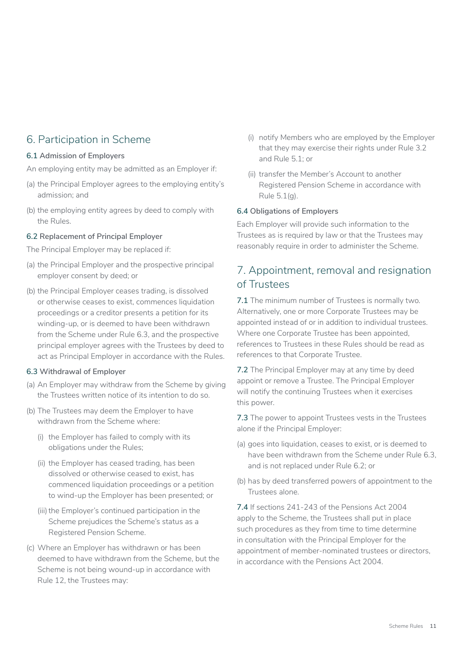### 6. Participation in Scheme

### **6.1 Admission of Employers**

An employing entity may be admitted as an Employer if:

- (a) the Principal Employer agrees to the employing entity's admission; and
- (b) the employing entity agrees by deed to comply with the Rules.

### **6.2 Replacement of Principal Employer**

The Principal Employer may be replaced if:

- (a) the Principal Employer and the prospective principal employer consent by deed; or
- (b) the Principal Employer ceases trading, is dissolved or otherwise ceases to exist, commences liquidation proceedings or a creditor presents a petition for its winding-up, or is deemed to have been withdrawn from the Scheme under Rule 6.3, and the prospective principal employer agrees with the Trustees by deed to act as Principal Employer in accordance with the Rules.

### **6.3 Withdrawal of Employer**

- (a) An Employer may withdraw from the Scheme by giving the Trustees written notice of its intention to do so.
- (b) The Trustees may deem the Employer to have withdrawn from the Scheme where:
	- (i) the Employer has failed to comply with its obligations under the Rules;
	- (ii) the Employer has ceased trading, has been dissolved or otherwise ceased to exist, has commenced liquidation proceedings or a petition to wind-up the Employer has been presented; or
	- (iii) the Employer's continued participation in the Scheme prejudices the Scheme's status as a Registered Pension Scheme.
- (c) Where an Employer has withdrawn or has been deemed to have withdrawn from the Scheme, but the Scheme is not being wound-up in accordance with Rule 12, the Trustees may:
- (i) notify Members who are employed by the Employer that they may exercise their rights under Rule 3.2 and Rule 5.1; or
- (ii) transfer the Member's Account to another Registered Pension Scheme in accordance with Rule 5.1(g).

### **6.4 Obligations of Employers**

Each Employer will provide such information to the Trustees as is required by law or that the Trustees may reasonably require in order to administer the Scheme.

### 7. Appointment, removal and resignation of Trustees

**7.1** The minimum number of Trustees is normally two. Alternatively, one or more Corporate Trustees may be appointed instead of or in addition to individual trustees. Where one Corporate Trustee has been appointed, references to Trustees in these Rules should be read as references to that Corporate Trustee.

**7.2** The Principal Employer may at any time by deed appoint or remove a Trustee. The Principal Employer will notify the continuing Trustees when it exercises this power.

**7.3** The power to appoint Trustees vests in the Trustees alone if the Principal Employer:

- (a) goes into liquidation, ceases to exist, or is deemed to have been withdrawn from the Scheme under Rule 6.3, and is not replaced under Rule 6.2; or
- (b) has by deed transferred powers of appointment to the Trustees alone.

**7.4** If sections 241-243 of the Pensions Act 2004 apply to the Scheme, the Trustees shall put in place such procedures as they from time to time determine in consultation with the Principal Employer for the appointment of member-nominated trustees or directors, in accordance with the Pensions Act 2004.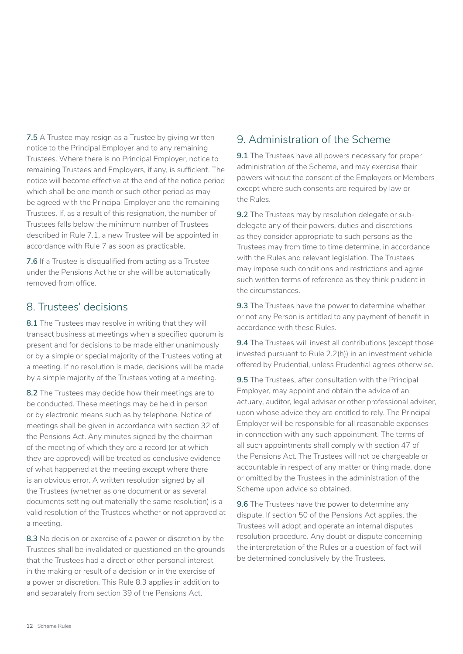**7.5** A Trustee may resign as a Trustee by giving written notice to the Principal Employer and to any remaining Trustees. Where there is no Principal Employer, notice to remaining Trustees and Employers, if any, is sufficient. The notice will become effective at the end of the notice period which shall be one month or such other period as may be agreed with the Principal Employer and the remaining Trustees. If, as a result of this resignation, the number of Trustees falls below the minimum number of Trustees described in Rule 7.1, a new Trustee will be appointed in accordance with Rule 7 as soon as practicable.

**7.6** If a Trustee is disqualified from acting as a Trustee under the Pensions Act he or she will be automatically removed from office.

### 8. Trustees' decisions

**8.1** The Trustees may resolve in writing that they will transact business at meetings when a specified quorum is present and for decisions to be made either unanimously or by a simple or special majority of the Trustees voting at a meeting. If no resolution is made, decisions will be made by a simple majority of the Trustees voting at a meeting.

**8.2** The Trustees may decide how their meetings are to be conducted. These meetings may be held in person or by electronic means such as by telephone. Notice of meetings shall be given in accordance with section 32 of the Pensions Act. Any minutes signed by the chairman of the meeting of which they are a record (or at which they are approved) will be treated as conclusive evidence of what happened at the meeting except where there is an obvious error. A written resolution signed by all the Trustees (whether as one document or as several documents setting out materially the same resolution) is a valid resolution of the Trustees whether or not approved at a meeting.

**8.3** No decision or exercise of a power or discretion by the Trustees shall be invalidated or questioned on the grounds that the Trustees had a direct or other personal interest in the making or result of a decision or in the exercise of a power or discretion. This Rule 8.3 applies in addition to and separately from section 39 of the Pensions Act.

### 9. Administration of the Scheme

**9.1** The Trustees have all powers necessary for proper administration of the Scheme, and may exercise their powers without the consent of the Employers or Members except where such consents are required by law or the Rules.

**9.2** The Trustees may by resolution delegate or subdelegate any of their powers, duties and discretions as they consider appropriate to such persons as the Trustees may from time to time determine, in accordance with the Rules and relevant legislation. The Trustees may impose such conditions and restrictions and agree such written terms of reference as they think prudent in the circumstances.

**9.3** The Trustees have the power to determine whether or not any Person is entitled to any payment of benefit in accordance with these Rules.

**9.4** The Trustees will invest all contributions (except those invested pursuant to Rule 2.2(h)) in an investment vehicle offered by Prudential, unless Prudential agrees otherwise.

**9.5** The Trustees, after consultation with the Principal Employer, may appoint and obtain the advice of an actuary, auditor, legal adviser or other professional adviser, upon whose advice they are entitled to rely. The Principal Employer will be responsible for all reasonable expenses in connection with any such appointment. The terms of all such appointments shall comply with section 47 of the Pensions Act. The Trustees will not be chargeable or accountable in respect of any matter or thing made, done or omitted by the Trustees in the administration of the Scheme upon advice so obtained.

**9.6** The Trustees have the power to determine any dispute. If section 50 of the Pensions Act applies, the Trustees will adopt and operate an internal disputes resolution procedure. Any doubt or dispute concerning the interpretation of the Rules or a question of fact will be determined conclusively by the Trustees.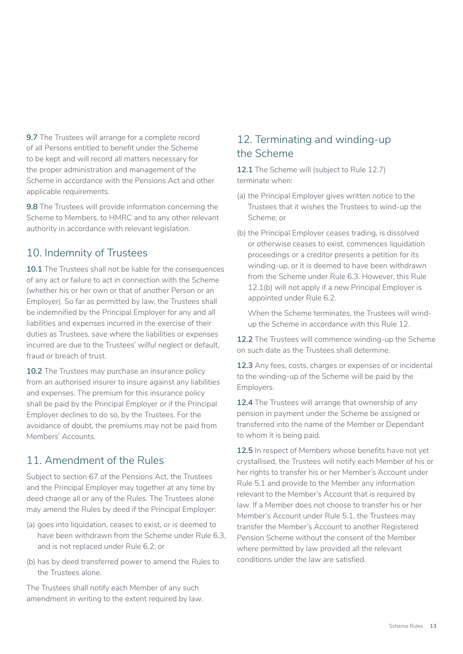**9.7** The Trustees will arrange for a complete record of all Persons entitled to benefit under the Scheme to be kept and will record all matters necessary for the proper administration and management of the Scheme in accordance with the Pensions Act and other applicable requirements.

**9.8** The Trustees will provide information concerning the Scheme to Members, to HMRC and to any other relevant authority in accordance with relevant legislation.

### 10. Indemnity of Trustees

**10.1** The Trustees shall not be liable for the consequences of any act or failure to act in connection with the Scheme (whether his or her own or that of another Person or an Employer). So far as permitted by law, the Trustees shall be indemnified by the Principal Employer for any and all liabilities and expenses incurred in the exercise of their duties as Trustees, save where the liabilities or expenses incurred are due to the Trustees' wilful neglect or default, fraud or breach of trust.

**10.2** The Trustees may purchase an insurance policy from an authorised insurer to insure against any liabilities and expenses. The premium for this insurance policy shall be paid by the Principal Employer or if the Principal Employer declines to do so, by the Trustees. For the avoidance of doubt, the premiums may not be paid from Members' Accounts.

### 11. Amendment of the Rules

Subject to section 67 of the Pensions Act, the Trustees and the Principal Employer may together at any time by deed change all or any of the Rules. The Trustees alone may amend the Rules by deed if the Principal Employer:

- (a) goes into liquidation, ceases to exist, or is deemed to have been withdrawn from the Scheme under Rule 6.3, and is not replaced under Rule 6.2; or
- (b) has by deed transferred power to amend the Rules to the Trustees alone.

The Trustees shall notify each Member of any such amendment in writing to the extent required by law.

### 12. Terminating and winding-up the Scheme

**12.1** The Scheme will (subject to Rule 12.7) terminate when:

- (a) the Principal Employer gives written notice to the Trustees that it wishes the Trustees to wind-up the Scheme; or
- (b) the Principal Employer ceases trading, is dissolved or otherwise ceases to exist, commences liquidation proceedings or a creditor presents a petition for its winding-up, or it is deemed to have been withdrawn from the Scheme under Rule 6.3. However, this Rule 12.1(b) will not apply if a new Principal Employer is appointed under Rule 6.2.

When the Scheme terminates, the Trustees will windup the Scheme in accordance with this Rule 12.

**12.2** The Trustees will commence winding-up the Scheme on such date as the Trustees shall determine.

**12.3** Any fees, costs, charges or expenses of or incidental to the winding-up of the Scheme will be paid by the Employers.

**12.4** The Trustees will arrange that ownership of any pension in payment under the Scheme be assigned or transferred into the name of the Member or Dependant to whom it is being paid.

**12.5** In respect of Members whose benefits have not yet crystallised, the Trustees will notify each Member of his or her rights to transfer his or her Member's Account under Rule 5.1 and provide to the Member any information relevant to the Member's Account that is required by law. If a Member does not choose to transfer his or her Member's Account under Rule 5.1, the Trustees may transfer the Member's Account to another Registered Pension Scheme without the consent of the Member where permitted by law provided all the relevant conditions under the law are satisfied.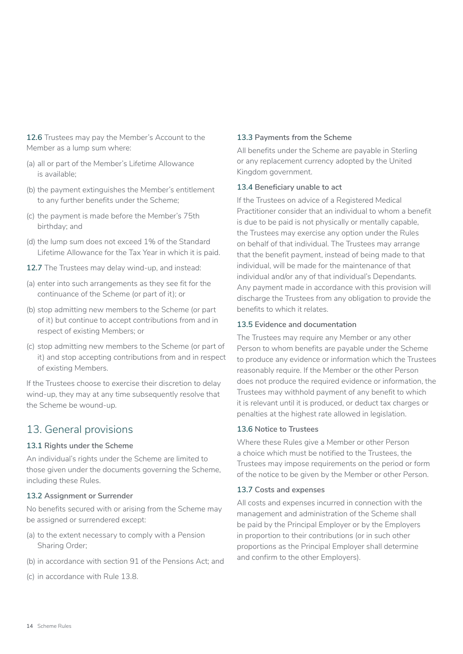**12.6** Trustees may pay the Member's Account to the Member as a lump sum where:

- (a) all or part of the Member's Lifetime Allowance is available;
- (b) the payment extinguishes the Member's entitlement to any further benefits under the Scheme;
- (c) the payment is made before the Member's 75th birthday; and
- (d) the lump sum does not exceed 1% of the Standard Lifetime Allowance for the Tax Year in which it is paid.
- **12.7** The Trustees may delay wind-up, and instead:
- (a) enter into such arrangements as they see fit for the continuance of the Scheme (or part of it); or
- (b) stop admitting new members to the Scheme (or part of it) but continue to accept contributions from and in respect of existing Members; or
- (c) stop admitting new members to the Scheme (or part of it) and stop accepting contributions from and in respect of existing Members.

If the Trustees choose to exercise their discretion to delay wind-up, they may at any time subsequently resolve that the Scheme be wound-up.

### 13. General provisions

### **13.1 Rights under the Scheme**

An individual's rights under the Scheme are limited to those given under the documents governing the Scheme, including these Rules.

### **13.2 Assignment or Surrender**

No benefits secured with or arising from the Scheme may be assigned or surrendered except:

- (a) to the extent necessary to comply with a Pension Sharing Order;
- (b) in accordance with section 91 of the Pensions Act; and
- (c) in accordance with Rule 13.8.

#### **13.3 Payments from the Scheme**

All benefits under the Scheme are payable in Sterling or any replacement currency adopted by the United Kingdom government.

#### **13.4 Beneficiary unable to act**

If the Trustees on advice of a Registered Medical Practitioner consider that an individual to whom a benefit is due to be paid is not physically or mentally capable, the Trustees may exercise any option under the Rules on behalf of that individual. The Trustees may arrange that the benefit payment, instead of being made to that individual, will be made for the maintenance of that individual and/or any of that individual's Dependants. Any payment made in accordance with this provision will discharge the Trustees from any obligation to provide the benefits to which it relates.

#### **13.5 Evidence and documentation**

The Trustees may require any Member or any other Person to whom benefits are payable under the Scheme to produce any evidence or information which the Trustees reasonably require. If the Member or the other Person does not produce the required evidence or information, the Trustees may withhold payment of any benefit to which it is relevant until it is produced, or deduct tax charges or penalties at the highest rate allowed in legislation.

### **13.6 Notice to Trustees**

Where these Rules give a Member or other Person a choice which must be notified to the Trustees, the Trustees may impose requirements on the period or form of the notice to be given by the Member or other Person.

#### **13.7 Costs and expenses**

All costs and expenses incurred in connection with the management and administration of the Scheme shall be paid by the Principal Employer or by the Employers in proportion to their contributions (or in such other proportions as the Principal Employer shall determine and confirm to the other Employers).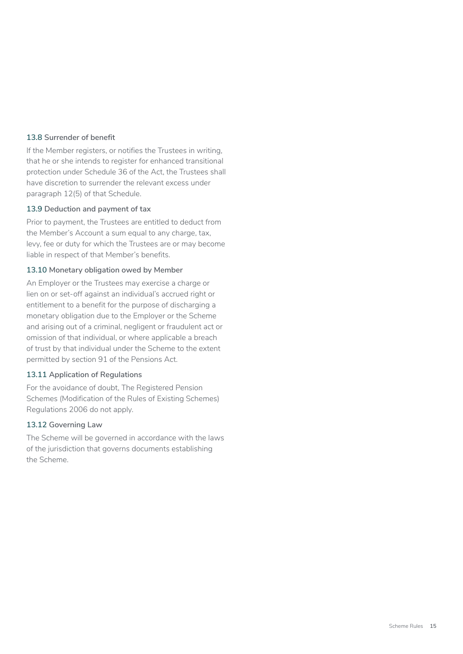#### **13.8 Surrender of benefit**

If the Member registers, or notifies the Trustees in writing, that he or she intends to register for enhanced transitional protection under Schedule 36 of the Act, the Trustees shall have discretion to surrender the relevant excess under paragraph 12(5) of that Schedule.

#### **13.9 Deduction and payment of tax**

Prior to payment, the Trustees are entitled to deduct from the Member's Account a sum equal to any charge, tax, levy, fee or duty for which the Trustees are or may become liable in respect of that Member's benefits.

#### **13.10 Monetary obligation owed by Member**

An Employer or the Trustees may exercise a charge or lien on or set-off against an individual's accrued right or entitlement to a benefit for the purpose of discharging a monetary obligation due to the Employer or the Scheme and arising out of a criminal, negligent or fraudulent act or omission of that individual, or where applicable a breach of trust by that individual under the Scheme to the extent permitted by section 91 of the Pensions Act.

#### **13.11 Application of Regulations**

For the avoidance of doubt, The Registered Pension Schemes (Modification of the Rules of Existing Schemes) Regulations 2006 do not apply.

#### **13.12 Governing Law**

The Scheme will be governed in accordance with the laws of the jurisdiction that governs documents establishing the Scheme.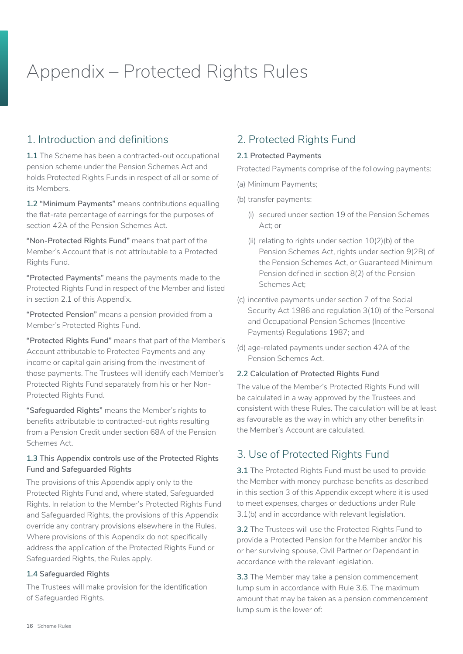## Appendix – Protected Rights Rules

### 1. Introduction and definitions

**1.1** The Scheme has been a contracted-out occupational pension scheme under the Pension Schemes Act and holds Protected Rights Funds in respect of all or some of its Members.

**1.2 "Minimum Payments"** means contributions equalling the flat-rate percentage of earnings for the purposes of section 42A of the Pension Schemes Act.

**"Non-Protected Rights Fund"** means that part of the Member's Account that is not attributable to a Protected Rights Fund.

**"Protected Payments"** means the payments made to the Protected Rights Fund in respect of the Member and listed in section 2.1 of this Appendix.

**"Protected Pension"** means a pension provided from a Member's Protected Rights Fund.

**"Protected Rights Fund"** means that part of the Member's Account attributable to Protected Payments and any income or capital gain arising from the investment of those payments. The Trustees will identify each Member's Protected Rights Fund separately from his or her Non-Protected Rights Fund.

**"Safeguarded Rights"** means the Member's rights to benefits attributable to contracted-out rights resulting from a Pension Credit under section 68A of the Pension Schemes Act.

### **1.3 This Appendix controls use of the Protected Rights Fund and Safeguarded Rights**

The provisions of this Appendix apply only to the Protected Rights Fund and, where stated, Safeguarded Rights. In relation to the Member's Protected Rights Fund and Safeguarded Rights, the provisions of this Appendix override any contrary provisions elsewhere in the Rules. Where provisions of this Appendix do not specifically address the application of the Protected Rights Fund or Safeguarded Rights, the Rules apply.

### **1.4 Safeguarded Rights**

The Trustees will make provision for the identification of Safeguarded Rights.

### 2. Protected Rights Fund

### **2.1 Protected Payments**

Protected Payments comprise of the following payments:

- (a) Minimum Payments;
- (b) transfer payments:
	- (i) secured under section 19 of the Pension Schemes Act; or
	- (ii) relating to rights under section 10(2)(b) of the Pension Schemes Act, rights under section 9(2B) of the Pension Schemes Act, or Guaranteed Minimum Pension defined in section 8(2) of the Pension Schemes Act;
- (c) incentive payments under section 7 of the Social Security Act 1986 and regulation 3(10) of the Personal and Occupational Pension Schemes (Incentive Payments) Regulations 1987; and
- (d) age-related payments under section 42A of the Pension Schemes Act.

### **2.2 Calculation of Protected Rights Fund**

The value of the Member's Protected Rights Fund will be calculated in a way approved by the Trustees and consistent with these Rules. The calculation will be at least as favourable as the way in which any other benefits in the Member's Account are calculated.

### 3. Use of Protected Rights Fund

**3.1** The Protected Rights Fund must be used to provide the Member with money purchase benefits as described in this section 3 of this Appendix except where it is used to meet expenses, charges or deductions under Rule 3.1(b) and in accordance with relevant legislation.

**3.2** The Trustees will use the Protected Rights Fund to provide a Protected Pension for the Member and/or his or her surviving spouse, Civil Partner or Dependant in accordance with the relevant legislation.

**3.3** The Member may take a pension commencement lump sum in accordance with Rule 3.6. The maximum amount that may be taken as a pension commencement lump sum is the lower of: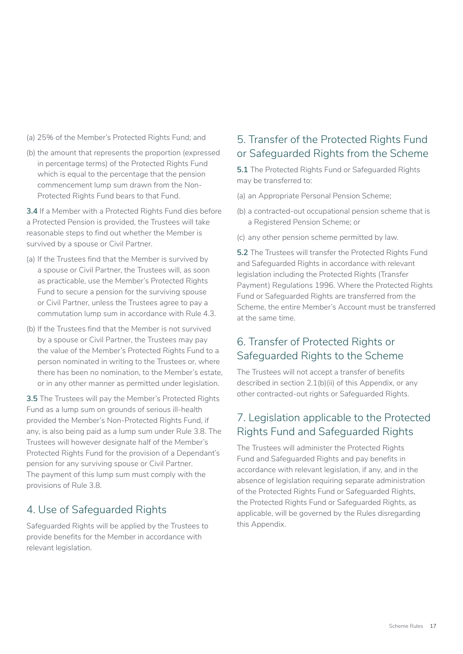- (a) 25% of the Member's Protected Rights Fund; and
- (b) the amount that represents the proportion (expressed in percentage terms) of the Protected Rights Fund which is equal to the percentage that the pension commencement lump sum drawn from the Non-Protected Rights Fund bears to that Fund.

**3.4** If a Member with a Protected Rights Fund dies before a Protected Pension is provided, the Trustees will take reasonable steps to find out whether the Member is survived by a spouse or Civil Partner.

- (a) If the Trustees find that the Member is survived by a spouse or Civil Partner, the Trustees will, as soon as practicable, use the Member's Protected Rights Fund to secure a pension for the surviving spouse or Civil Partner, unless the Trustees agree to pay a commutation lump sum in accordance with Rule 4.3.
- (b) If the Trustees find that the Member is not survived by a spouse or Civil Partner, the Trustees may pay the value of the Member's Protected Rights Fund to a person nominated in writing to the Trustees or, where there has been no nomination, to the Member's estate, or in any other manner as permitted under legislation.

**3.5** The Trustees will pay the Member's Protected Rights Fund as a lump sum on grounds of serious ill-health provided the Member's Non-Protected Rights Fund, if any, is also being paid as a lump sum under Rule 3.8. The Trustees will however designate half of the Member's Protected Rights Fund for the provision of a Dependant's pension for any surviving spouse or Civil Partner. The payment of this lump sum must comply with the provisions of Rule 3.8.

### 4. Use of Safeguarded Rights

Safeguarded Rights will be applied by the Trustees to provide benefits for the Member in accordance with relevant legislation.

### 5. Transfer of the Protected Rights Fund or Safeguarded Rights from the Scheme

**5.1** The Protected Rights Fund or Safeguarded Rights may be transferred to:

- (a) an Appropriate Personal Pension Scheme;
- (b) a contracted-out occupational pension scheme that is a Registered Pension Scheme; or
- (c) any other pension scheme permitted by law.

**5.2** The Trustees will transfer the Protected Rights Fund and Safeguarded Rights in accordance with relevant legislation including the Protected Rights (Transfer Payment) Regulations 1996. Where the Protected Rights Fund or Safeguarded Rights are transferred from the Scheme, the entire Member's Account must be transferred at the same time.

### 6. Transfer of Protected Rights or Safeguarded Rights to the Scheme

The Trustees will not accept a transfer of benefits described in section 2.1(b)(ii) of this Appendix, or any other contracted-out rights or Safeguarded Rights.

### 7. Legislation applicable to the Protected Rights Fund and Safeguarded Rights

The Trustees will administer the Protected Rights Fund and Safeguarded Rights and pay benefits in accordance with relevant legislation, if any, and in the absence of legislation requiring separate administration of the Protected Rights Fund or Safeguarded Rights, the Protected Rights Fund or Safeguarded Rights, as applicable, will be governed by the Rules disregarding this Appendix.